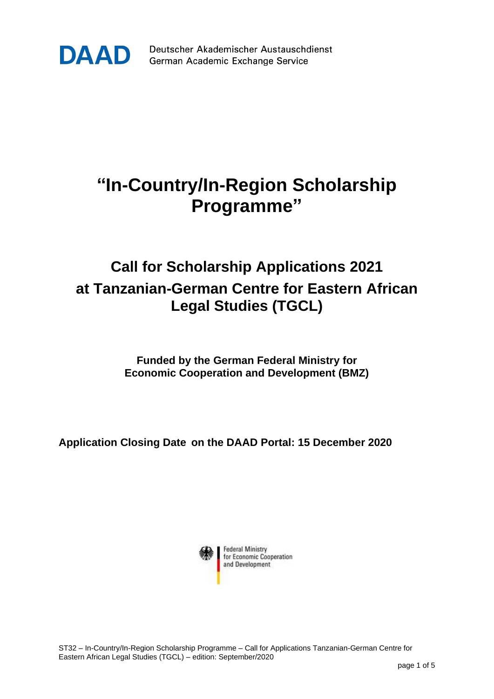

Deutscher Akademischer Austauschdienst German Academic Exchange Service

## **"In-Country/In-Region Scholarship Programme"**

## **Call for Scholarship Applications 2021 at Tanzanian-German Centre for Eastern African Legal Studies (TGCL)**

**Funded by the German Federal Ministry for Economic Cooperation and Development (BMZ)**

**Application Closing Date on the DAAD Portal: 15 December 2020**

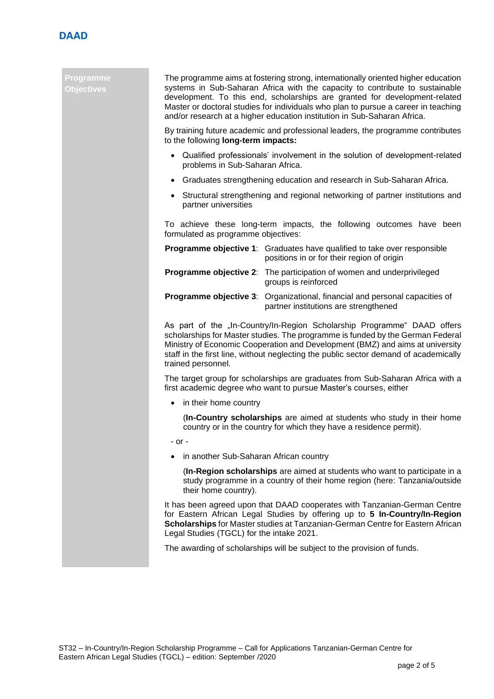

## **Programme Objectives**

The programme aims at fostering strong, internationally oriented higher education systems in Sub-Saharan Africa with the capacity to contribute to sustainable development. To this end, scholarships are granted for development-related Master or doctoral studies for individuals who plan to pursue a career in teaching and/or research at a higher education institution in Sub-Saharan Africa.

By training future academic and professional leaders, the programme contributes to the following **long-term impacts:**

- Qualified professionals' involvement in the solution of development-related problems in Sub-Saharan Africa.
- Graduates strengthening education and research in Sub-Saharan Africa.
- Structural strengthening and regional networking of partner institutions and partner universities

To achieve these long-term impacts, the following outcomes have been formulated as programme objectives:

| <b>Programme objective 1:</b> Graduates have qualified to take over responsible<br>positions in or for their region of origin |
|-------------------------------------------------------------------------------------------------------------------------------|
| <b>Programme objective 2:</b> The participation of women and underprivileged<br>groups is reinforced                          |
| <b>Programme objective 3:</b> Organizational, financial and personal capacities of<br>partner institutions are strengthened   |

As part of the "In-Country/In-Region Scholarship Programme" DAAD offers scholarships for Master studies. The programme is funded by the German Federal Ministry of Economic Cooperation and Development (BMZ) and aims at university staff in the first line, without neglecting the public sector demand of academically trained personnel.

The target group for scholarships are graduates from Sub-Saharan Africa with a first academic degree who want to pursue Master's courses, either

• in their home country

(**In-Country scholarships** are aimed at students who study in their home country or in the country for which they have a residence permit).

- or -

• in another Sub-Saharan African country

(**In-Region scholarships** are aimed at students who want to participate in a study programme in a country of their home region (here: Tanzania/outside their home country).

It has been agreed upon that DAAD cooperates with Tanzanian-German Centre for Eastern African Legal Studies by offering up to **5 In-Country/In-Region Scholarships** for Master studies at Tanzanian-German Centre for Eastern African Legal Studies (TGCL) for the intake 2021.

The awarding of scholarships will be subject to the provision of funds.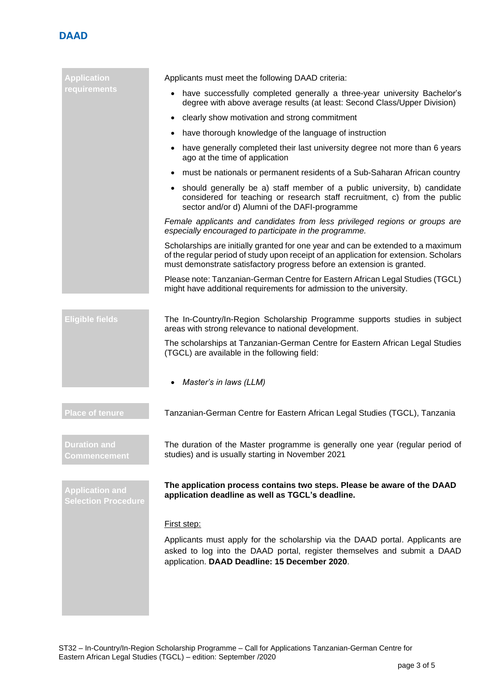

| <b>Application</b>                                   | Applicants must meet the following DAAD criteria:                                                                                                                                                                                                   |  |  |
|------------------------------------------------------|-----------------------------------------------------------------------------------------------------------------------------------------------------------------------------------------------------------------------------------------------------|--|--|
| requirements                                         | have successfully completed generally a three-year university Bachelor's<br>$\bullet$<br>degree with above average results (at least: Second Class/Upper Division)                                                                                  |  |  |
|                                                      | clearly show motivation and strong commitment<br>$\bullet$                                                                                                                                                                                          |  |  |
|                                                      | have thorough knowledge of the language of instruction<br>$\bullet$                                                                                                                                                                                 |  |  |
|                                                      | have generally completed their last university degree not more than 6 years<br>$\bullet$<br>ago at the time of application                                                                                                                          |  |  |
|                                                      | must be nationals or permanent residents of a Sub-Saharan African country                                                                                                                                                                           |  |  |
|                                                      | • should generally be a) staff member of a public university, b) candidate<br>considered for teaching or research staff recruitment, c) from the public<br>sector and/or d) Alumni of the DAFI-programme                                            |  |  |
|                                                      | Female applicants and candidates from less privileged regions or groups are<br>especially encouraged to participate in the programme.                                                                                                               |  |  |
|                                                      | Scholarships are initially granted for one year and can be extended to a maximum<br>of the regular period of study upon receipt of an application for extension. Scholars<br>must demonstrate satisfactory progress before an extension is granted. |  |  |
|                                                      | Please note: Tanzanian-German Centre for Eastern African Legal Studies (TGCL)<br>might have additional requirements for admission to the university.                                                                                                |  |  |
| <b>Eligible fields</b>                               | The In-Country/In-Region Scholarship Programme supports studies in subject<br>areas with strong relevance to national development.                                                                                                                  |  |  |
|                                                      | The scholarships at Tanzanian-German Centre for Eastern African Legal Studies<br>(TGCL) are available in the following field:                                                                                                                       |  |  |
|                                                      | Master's in laws (LLM)                                                                                                                                                                                                                              |  |  |
| <b>Place of tenure</b>                               | Tanzanian-German Centre for Eastern African Legal Studies (TGCL), Tanzania                                                                                                                                                                          |  |  |
| <b>Duration and</b><br>Commencement                  | The duration of the Master programme is generally one year (regular period of<br>studies) and is usually starting in November 2021                                                                                                                  |  |  |
| <b>Application and</b><br><b>Selection Procedure</b> | The application process contains two steps. Please be aware of the DAAD<br>application deadline as well as TGCL's deadline.                                                                                                                         |  |  |
|                                                      | First step:                                                                                                                                                                                                                                         |  |  |
|                                                      | Applicants must apply for the scholarship via the DAAD portal. Applicants are<br>asked to log into the DAAD portal, register themselves and submit a DAAD<br>application. DAAD Deadline: 15 December 2020.                                          |  |  |
|                                                      |                                                                                                                                                                                                                                                     |  |  |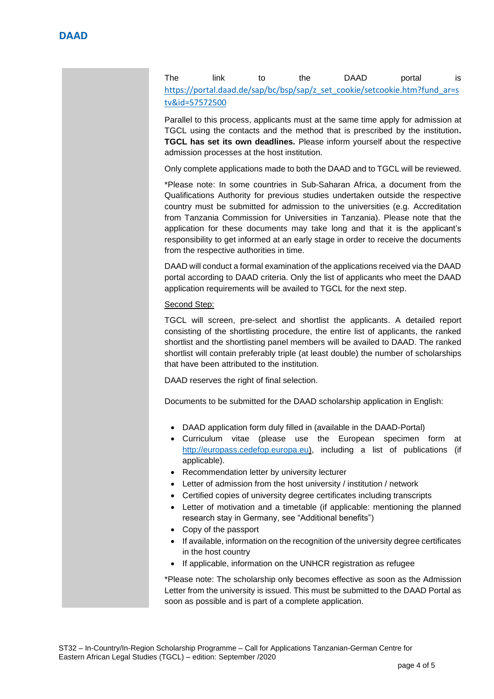The link to the DAAD portal is [https://portal.daad.de/sap/bc/bsp/sap/z\\_set\\_cookie/setcookie.htm?fund\\_ar=s](https://portal.daad.de/sap/bc/bsp/sap/z_set_cookie/setcookie.htm?fund_ar=stv&id=57572500) [tv&id=57572500](https://portal.daad.de/sap/bc/bsp/sap/z_set_cookie/setcookie.htm?fund_ar=stv&id=57572500)

Parallel to this process, applicants must at the same time apply for admission at TGCL using the contacts and the method that is prescribed by the institution**. TGCL has set its own deadlines.** Please inform yourself about the respective admission processes at the host institution.

Only complete applications made to both the DAAD and to TGCL will be reviewed.

\*Please note: In some countries in Sub-Saharan Africa, a document from the Qualifications Authority for previous studies undertaken outside the respective country must be submitted for admission to the universities (e.g. Accreditation from Tanzania Commission for Universities in Tanzania). Please note that the application for these documents may take long and that it is the applicant's responsibility to get informed at an early stage in order to receive the documents from the respective authorities in time.

DAAD will conduct a formal examination of the applications received via the DAAD portal according to DAAD criteria. Only the list of applicants who meet the DAAD application requirements will be availed to TGCL for the next step.

## Second Step:

TGCL will screen, pre-select and shortlist the applicants. A detailed report consisting of the shortlisting procedure, the entire list of applicants, the ranked shortlist and the shortlisting panel members will be availed to DAAD. The ranked shortlist will contain preferably triple (at least double) the number of scholarships that have been attributed to the institution.

DAAD reserves the right of final selection.

Documents to be submitted for the DAAD scholarship application in English:

- DAAD application form duly filled in (available in the DAAD-Portal)
- Curriculum vitae (please use the European specimen form at [http://europass.cedefop.europa.eu\)](http://europass.cedefop.europa.eu/), including a list of publications (if applicable).
- Recommendation letter by university lecturer
- Letter of admission from the host university / institution / network
- Certified copies of university degree certificates including transcripts
- Letter of motivation and a timetable (if applicable: mentioning the planned research stay in Germany, see "Additional benefits")
- Copy of the passport
- If available, information on the recognition of the university degree certificates in the host country
- If applicable, information on the UNHCR registration as refugee

\*Please note: The scholarship only becomes effective as soon as the Admission Letter from the university is issued. This must be submitted to the DAAD Portal as soon as possible and is part of a complete application.